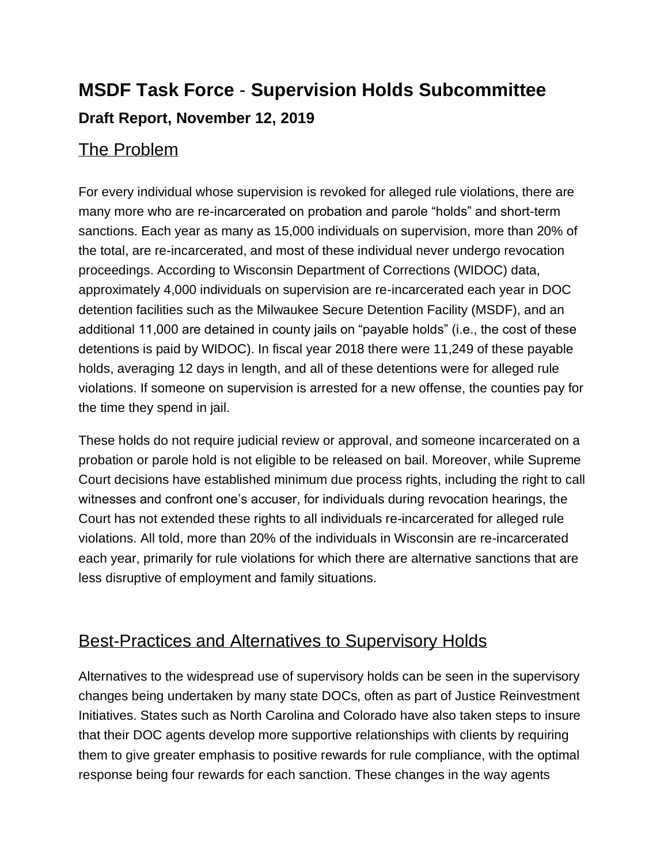# **MSDF Task Force** - **Supervision Holds Subcommittee Draft Report, November 12, 2019**

## The Problem

For every individual whose supervision is revoked for alleged rule violations, there are many more who are re-incarcerated on probation and parole "holds" and short-term sanctions. Each year as many as 15,000 individuals on supervision, more than 20% of the total, are re-incarcerated, and most of these individual never undergo revocation proceedings. According to Wisconsin Department of Corrections (WIDOC) data, approximately 4,000 individuals on supervision are re-incarcerated each year in DOC detention facilities such as the Milwaukee Secure Detention Facility (MSDF), and an additional 11,000 are detained in county jails on "payable holds" (i.e., the cost of these detentions is paid by WIDOC). In fiscal year 2018 there were 11,249 of these payable holds, averaging 12 days in length, and all of these detentions were for alleged rule violations. If someone on supervision is arrested for a new offense, the counties pay for the time they spend in jail.

These holds do not require judicial review or approval, and someone incarcerated on a probation or parole hold is not eligible to be released on bail. Moreover, while Supreme Court decisions have established minimum due process rights, including the right to call witnesses and confront one's accuser, for individuals during revocation hearings, the Court has not extended these rights to all individuals re-incarcerated for alleged rule violations. All told, more than 20% of the individuals in Wisconsin are re-incarcerated each year, primarily for rule violations for which there are alternative sanctions that are less disruptive of employment and family situations.

# Best-Practices and Alternatives to Supervisory Holds

Alternatives to the widespread use of supervisory holds can be seen in the supervisory changes being undertaken by many state DOCs, often as part of Justice Reinvestment Initiatives. States such as North Carolina and Colorado have also taken steps to insure that their DOC agents develop more supportive relationships with clients by requiring them to give greater emphasis to positive rewards for rule compliance, with the optimal response being four rewards for each sanction. These changes in the way agents